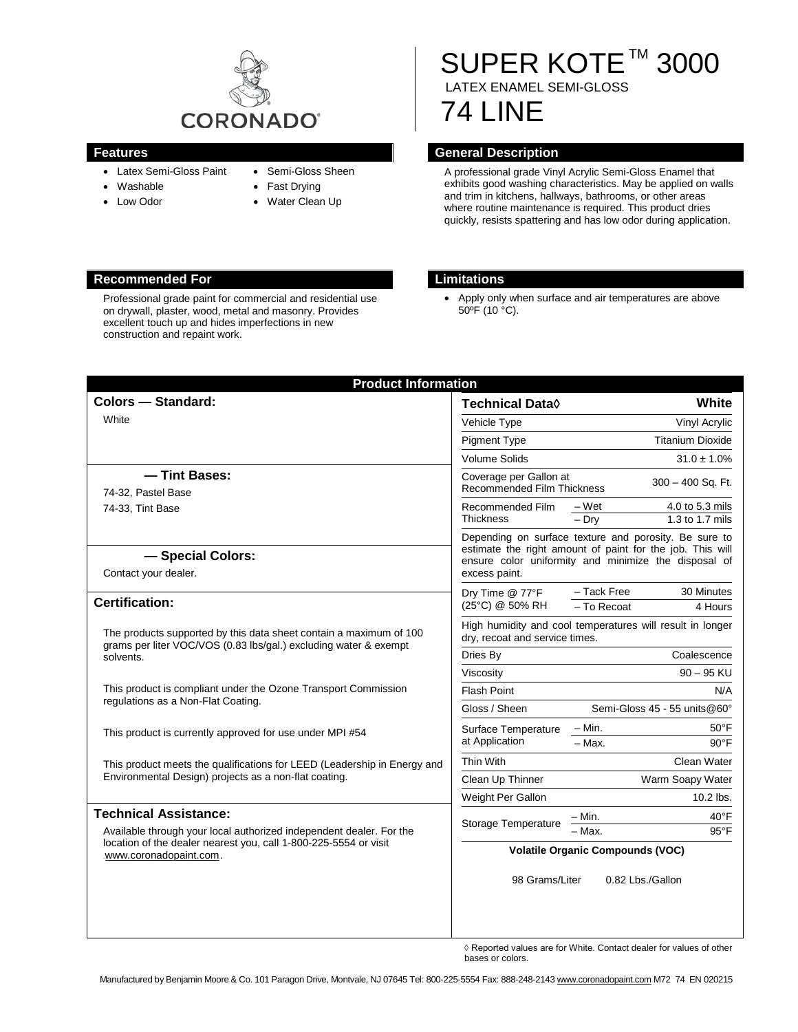

- Latex Semi-Gloss Paint
- Washable
- Low Odor
- Semi-Gloss Sheen
- Fast Drying
- Water Clean Up

# SUPER KOTE™ 3000 LATEX ENAMEL SEMI-GLOSS

# 74 LINE

### **Features General Description**

A professional grade Vinyl Acrylic Semi-Gloss Enamel that exhibits good washing characteristics. May be applied on walls and trim in kitchens, hallways, bathrooms, or other areas where routine maintenance is required. This product dries quickly, resists spattering and has low odor during application.

#### **Recommended For Limitations**

Professional grade paint for commercial and residential use on drywall, plaster, wood, metal and masonry. Provides excellent touch up and hides imperfections in new construction and repaint work.

• Apply only when surface and air temperatures are above  $50^{\circ}$ F (10 $^{\circ}$ C).

| <b>Product Information</b>                                                                                                                                        |                                                                                                                                                                                             |                              |                                      |
|-------------------------------------------------------------------------------------------------------------------------------------------------------------------|---------------------------------------------------------------------------------------------------------------------------------------------------------------------------------------------|------------------------------|--------------------------------------|
| <b>Colors - Standard:</b>                                                                                                                                         | Technical Data <sup>(</sup>                                                                                                                                                                 |                              | White                                |
| White                                                                                                                                                             | Vehicle Type                                                                                                                                                                                |                              | Vinyl Acrylic                        |
|                                                                                                                                                                   | <b>Pigment Type</b>                                                                                                                                                                         |                              | <b>Titanium Dioxide</b>              |
|                                                                                                                                                                   | <b>Volume Solids</b>                                                                                                                                                                        |                              | $31.0 \pm 1.0\%$                     |
| - Tint Bases:<br>74-32, Pastel Base<br>74-33, Tint Base                                                                                                           | Coverage per Gallon at<br><b>Recommended Film Thickness</b>                                                                                                                                 |                              | 300 - 400 Sq. Ft.                    |
|                                                                                                                                                                   | Recommended Film<br><b>Thickness</b>                                                                                                                                                        | $-Wet$<br>$-$ Dry            | 4.0 to 5.3 mils<br>$1.3$ to 1.7 mils |
| - Special Colors:<br>Contact your dealer.                                                                                                                         | Depending on surface texture and porosity. Be sure to<br>estimate the right amount of paint for the job. This will<br>ensure color uniformity and minimize the disposal of<br>excess paint. |                              |                                      |
| <b>Certification:</b>                                                                                                                                             | Dry Time @ 77°F<br>(25°C) @ 50% RH                                                                                                                                                          | - Tack Free<br>- To Recoat   | 30 Minutes<br>4 Hours                |
| The products supported by this data sheet contain a maximum of 100<br>grams per liter VOC/VOS (0.83 lbs/gal.) excluding water & exempt<br>solvents.               | High humidity and cool temperatures will result in longer<br>dry, recoat and service times.                                                                                                 |                              |                                      |
|                                                                                                                                                                   | Dries By                                                                                                                                                                                    |                              | Coalescence                          |
|                                                                                                                                                                   | Viscosity                                                                                                                                                                                   |                              | $90 - 95$ KU                         |
| This product is compliant under the Ozone Transport Commission<br>regulations as a Non-Flat Coating.                                                              | <b>Flash Point</b>                                                                                                                                                                          |                              | N/A                                  |
|                                                                                                                                                                   | Gloss / Sheen                                                                                                                                                                               | Semi-Gloss 45 - 55 units@60° |                                      |
| This product is currently approved for use under MPI #54                                                                                                          | Surface Temperature<br>at Application                                                                                                                                                       | – Min.                       | $50^{\circ}$ F                       |
|                                                                                                                                                                   |                                                                                                                                                                                             | $-$ Max.                     | $90^{\circ}$ F                       |
| This product meets the qualifications for LEED (Leadership in Energy and<br>Environmental Design) projects as a non-flat coating.                                 | Thin With                                                                                                                                                                                   |                              | Clean Water                          |
|                                                                                                                                                                   | Clean Up Thinner                                                                                                                                                                            |                              | Warm Soapy Water                     |
|                                                                                                                                                                   | Weight Per Gallon                                                                                                                                                                           |                              | 10.2 lbs.                            |
| <b>Technical Assistance:</b>                                                                                                                                      | Storage Temperature                                                                                                                                                                         | - Min.                       | 40°F                                 |
| Available through your local authorized independent dealer. For the<br>location of the dealer nearest you, call 1-800-225-5554 or visit<br>.www.coronadopaint.com | - Max.<br>$95^{\circ}$ F<br><b>Volatile Organic Compounds (VOC)</b>                                                                                                                         |                              |                                      |
|                                                                                                                                                                   | 98 Grams/Liter                                                                                                                                                                              |                              | 0.82 Lbs./Gallon                     |

◊ Reported values are for White. Contact dealer for values of other bases or colors.